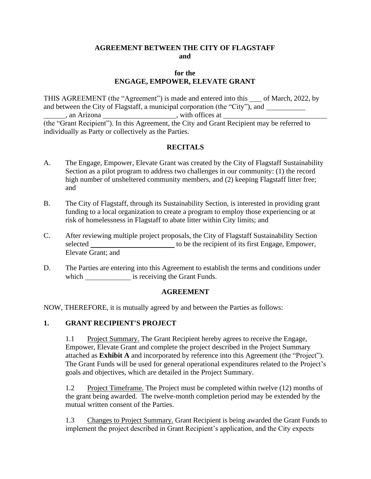### **AGREEMENT BETWEEN THE CITY OF FLAGSTAFF and**

### **for the ENGAGE, EMPOWER, ELEVATE GRANT**

THIS AGREEMENT (the "Agreement") is made and entered into this of March, 2022, by and between the City of Flagstaff, a municipal corporation (the "City"), and an Arizona \_\_\_\_\_\_\_\_\_\_\_\_\_\_\_\_\_\_\_\_\_\_\_\_\_, with offices at \_\_\_\_\_\_\_\_\_\_\_\_\_\_\_\_\_\_\_\_\_\_\_\_\_\_\_ (the "Grant Recipient"). In this Agreement, the City and Grant Recipient may be referred to individually as Party or collectively as the Parties.

# **RECITALS**

- A. The Engage, Empower, Elevate Grant was created by the City of Flagstaff Sustainability Section as a pilot program to address two challenges in our community: (1) the record high number of unsheltered community members, and (2) keeping Flagstaff litter free; and
- B. The City of Flagstaff, through its Sustainability Section, is interested in providing grant funding to a local organization to create a program to employ those experiencing or at risk of homelessness in Flagstaff to abate litter within City limits; and
- C. After reviewing multiple project proposals, the City of Flagstaff Sustainability Section selected to be the recipient of its first Engage, Empower, Elevate Grant; and
- D. The Parties are entering into this Agreement to establish the terms and conditions under which is receiving the Grant Funds.

#### **AGREEMENT**

NOW, THEREFORE, it is mutually agreed by and between the Parties as follows:

# **1. GRANT RECIPIENT'S PROJECT**

1.1 Project Summary. The Grant Recipient hereby agrees to receive the Engage, Empower, Elevate Grant and complete the project described in the Project Summary attached as **Exhibit A** and incorporated by reference into this Agreement (the "Project"). The Grant Funds will be used for general operational expenditures related to the Project's goals and objectives, which are detailed in the Project Summary.

1.2 Project Timeframe. The Project must be completed within twelve (12) months of the grant being awarded. The twelve-month completion period may be extended by the mutual written consent of the Parties.

1.3 Changes to Project Summary. Grant Recipient is being awarded the Grant Funds to implement the project described in Grant Recipient's application, and the City expects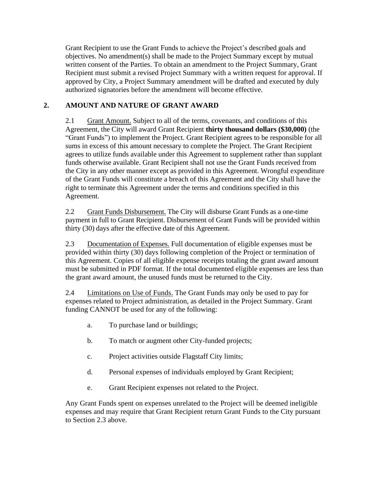Grant Recipient to use the Grant Funds to achieve the Project's described goals and objectives. No amendment(s) shall be made to the Project Summary except by mutual written consent of the Parties. To obtain an amendment to the Project Summary, Grant Recipient must submit a revised Project Summary with a written request for approval. If approved by City, a Project Summary amendment will be drafted and executed by duly authorized signatories before the amendment will become effective.

# **2. AMOUNT AND NATURE OF GRANT AWARD**

2.1 Grant Amount. Subject to all of the terms, covenants, and conditions of this Agreement, the City will award Grant Recipient **thirty thousand dollars (\$30,000)** (the "Grant Funds") to implement the Project. Grant Recipient agrees to be responsible for all sums in excess of this amount necessary to complete the Project. The Grant Recipient agrees to utilize funds available under this Agreement to supplement rather than supplant funds otherwise available. Grant Recipient shall not use the Grant Funds received from the City in any other manner except as provided in this Agreement. Wrongful expenditure of the Grant Funds will constitute a breach of this Agreement and the City shall have the right to terminate this Agreement under the terms and conditions specified in this Agreement.

2.2 Grant Funds Disbursement. The City will disburse Grant Funds as a one-time payment in full to Grant Recipient. Disbursement of Grant Funds will be provided within thirty (30) days after the effective date of this Agreement.

2.3 Documentation of Expenses. Full documentation of eligible expenses must be provided within thirty (30) days following completion of the Project or termination of this Agreement. Copies of all eligible expense receipts totaling the grant award amount must be submitted in PDF format. If the total documented eligible expenses are less than the grant award amount, the unused funds must be returned to the City.

2.4 Limitations on Use of Funds. The Grant Funds may only be used to pay for expenses related to Project administration, as detailed in the Project Summary. Grant funding CANNOT be used for any of the following:

- a. To purchase land or buildings;
- b. To match or augment other City-funded projects;
- c. Project activities outside Flagstaff City limits;
- d. Personal expenses of individuals employed by Grant Recipient;
- e. Grant Recipient expenses not related to the Project.

Any Grant Funds spent on expenses unrelated to the Project will be deemed ineligible expenses and may require that Grant Recipient return Grant Funds to the City pursuant to Section 2.3 above.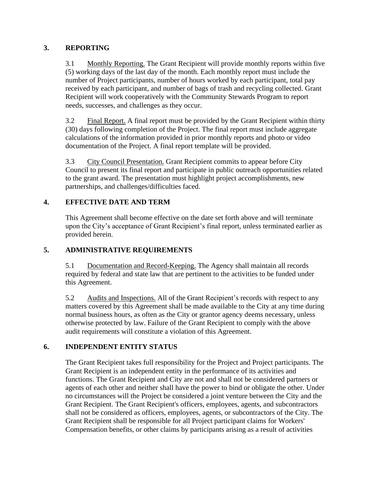# **3. REPORTING**

3.1 Monthly Reporting. The Grant Recipient will provide monthly reports within five (5) working days of the last day of the month. Each monthly report must include the number of Project participants, number of hours worked by each participant, total pay received by each participant, and number of bags of trash and recycling collected. Grant Recipient will work cooperatively with the Community Stewards Program to report needs, successes, and challenges as they occur.

3.2 Final Report. A final report must be provided by the Grant Recipient within thirty (30) days following completion of the Project. The final report must include aggregate calculations of the information provided in prior monthly reports and photo or video documentation of the Project. A final report template will be provided.

3.3 City Council Presentation. Grant Recipient commits to appear before City Council to present its final report and participate in public outreach opportunities related to the grant award. The presentation must highlight project accomplishments, new partnerships, and challenges/difficulties faced.

# **4. EFFECTIVE DATE AND TERM**

This Agreement shall become effective on the date set forth above and will terminate upon the City's acceptance of Grant Recipient's final report, unless terminated earlier as provided herein.

# **5. ADMINISTRATIVE REQUIREMENTS**

5.1 Documentation and Record-Keeping. The Agency shall maintain all records required by federal and state law that are pertinent to the activities to be funded under this Agreement.

5.2 Audits and Inspections. All of the Grant Recipient's records with respect to any matters covered by this Agreement shall be made available to the City at any time during normal business hours, as often as the City or grantor agency deems necessary, unless otherwise protected by law. Failure of the Grant Recipient to comply with the above audit requirements will constitute a violation of this Agreement.

# **6. INDEPENDENT ENTITY STATUS**

The Grant Recipient takes full responsibility for the Project and Project participants. The Grant Recipient is an independent entity in the performance of its activities and functions. The Grant Recipient and City are not and shall not be considered partners or agents of each other and neither shall have the power to bind or obligate the other. Under no circumstances will the Project be considered a joint venture between the City and the Grant Recipient. The Grant Recipient's officers, employees, agents, and subcontractors shall not be considered as officers, employees, agents, or subcontractors of the City. The Grant Recipient shall be responsible for all Project participant claims for Workers' Compensation benefits, or other claims by participants arising as a result of activities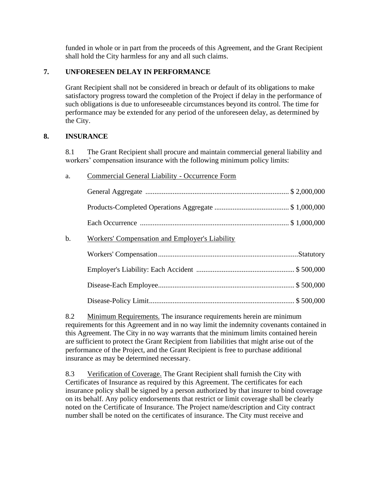funded in whole or in part from the proceeds of this Agreement, and the Grant Recipient shall hold the City harmless for any and all such claims.

# **7. UNFORESEEN DELAY IN PERFORMANCE**

Grant Recipient shall not be considered in breach or default of its obligations to make satisfactory progress toward the completion of the Project if delay in the performance of such obligations is due to unforeseeable circumstances beyond its control. The time for performance may be extended for any period of the unforeseen delay, as determined by the City.

### **8. INSURANCE**

8.1 The Grant Recipient shall procure and maintain commercial general liability and workers' compensation insurance with the following minimum policy limits:

| a.    | Commercial General Liability - Occurrence Form |  |
|-------|------------------------------------------------|--|
|       |                                                |  |
|       |                                                |  |
|       |                                                |  |
| $b$ . | Workers' Compensation and Employer's Liability |  |
|       |                                                |  |
|       |                                                |  |
|       |                                                |  |
|       |                                                |  |

8.2 Minimum Requirements. The insurance requirements herein are minimum requirements for this Agreement and in no way limit the indemnity covenants contained in this Agreement. The City in no way warrants that the minimum limits contained herein are sufficient to protect the Grant Recipient from liabilities that might arise out of the performance of the Project, and the Grant Recipient is free to purchase additional insurance as may be determined necessary.

8.3 Verification of Coverage. The Grant Recipient shall furnish the City with Certificates of Insurance as required by this Agreement. The certificates for each insurance policy shall be signed by a person authorized by that insurer to bind coverage on its behalf. Any policy endorsements that restrict or limit coverage shall be clearly noted on the Certificate of Insurance. The Project name/description and City contract number shall be noted on the certificates of insurance. The City must receive and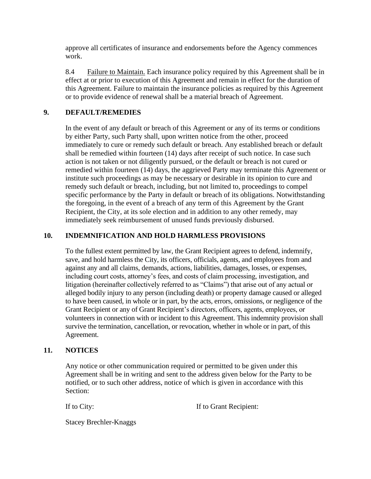approve all certificates of insurance and endorsements before the Agency commences work.

8.4 Failure to Maintain. Each insurance policy required by this Agreement shall be in effect at or prior to execution of this Agreement and remain in effect for the duration of this Agreement. Failure to maintain the insurance policies as required by this Agreement or to provide evidence of renewal shall be a material breach of Agreement.

### **9. DEFAULT/REMEDIES**

In the event of any default or breach of this Agreement or any of its terms or conditions by either Party, such Party shall, upon written notice from the other, proceed immediately to cure or remedy such default or breach. Any established breach or default shall be remedied within fourteen (14) days after receipt of such notice. In case such action is not taken or not diligently pursued, or the default or breach is not cured or remedied within fourteen (14) days, the aggrieved Party may terminate this Agreement or institute such proceedings as may be necessary or desirable in its opinion to cure and remedy such default or breach, including, but not limited to, proceedings to compel specific performance by the Party in default or breach of its obligations. Notwithstanding the foregoing, in the event of a breach of any term of this Agreement by the Grant Recipient, the City, at its sole election and in addition to any other remedy, may immediately seek reimbursement of unused funds previously disbursed.

### **10. INDEMNIFICATION AND HOLD HARMLESS PROVISIONS**

To the fullest extent permitted by law, the Grant Recipient agrees to defend, indemnify, save, and hold harmless the City, its officers, officials, agents, and employees from and against any and all claims, demands, actions, liabilities, damages, losses, or expenses, including court costs, attorney's fees, and costs of claim processing, investigation, and litigation (hereinafter collectively referred to as "Claims") that arise out of any actual or alleged bodily injury to any person (including death) or property damage caused or alleged to have been caused, in whole or in part, by the acts, errors, omissions, or negligence of the Grant Recipient or any of Grant Recipient's directors, officers, agents, employees, or volunteers in connection with or incident to this Agreement. This indemnity provision shall survive the termination, cancellation, or revocation, whether in whole or in part, of this Agreement.

#### **11. NOTICES**

Any notice or other communication required or permitted to be given under this Agreement shall be in writing and sent to the address given below for the Party to be notified, or to such other address, notice of which is given in accordance with this Section:

If to City: If to Grant Recipient:

Stacey Brechler-Knaggs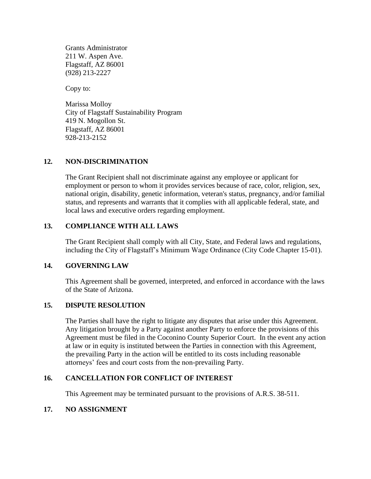Grants Administrator 211 W. Aspen Ave. Flagstaff, AZ 86001 (928) 213-2227

Copy to:

Marissa Molloy City of Flagstaff Sustainability Program 419 N. Mogollon St. Flagstaff, AZ 86001 928-213-2152

### **12. NON-DISCRIMINATION**

The Grant Recipient shall not discriminate against any employee or applicant for employment or person to whom it provides services because of race, color, religion, sex, national origin, disability, genetic information, veteran's status, pregnancy, and/or familial status, and represents and warrants that it complies with all applicable federal, state, and local laws and executive orders regarding employment.

### **13. COMPLIANCE WITH ALL LAWS**

The Grant Recipient shall comply with all City, State, and Federal laws and regulations, including the City of Flagstaff's Minimum Wage Ordinance (City Code Chapter 15-01).

#### **14. GOVERNING LAW**

This Agreement shall be governed, interpreted, and enforced in accordance with the laws of the State of Arizona.

#### **15. DISPUTE RESOLUTION**

The Parties shall have the right to litigate any disputes that arise under this Agreement. Any litigation brought by a Party against another Party to enforce the provisions of this Agreement must be filed in the Coconino County Superior Court. In the event any action at law or in equity is instituted between the Parties in connection with this Agreement, the prevailing Party in the action will be entitled to its costs including reasonable attorneys' fees and court costs from the non-prevailing Party.

#### **16. CANCELLATION FOR CONFLICT OF INTEREST**

This Agreement may be terminated pursuant to the provisions of A.R.S. 38-511.

#### **17. NO ASSIGNMENT**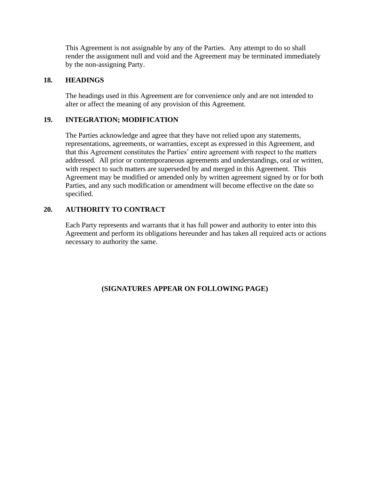This Agreement is not assignable by any of the Parties. Any attempt to do so shall render the assignment null and void and the Agreement may be terminated immediately by the non-assigning Party.

### **18. HEADINGS**

The headings used in this Agreement are for convenience only and are not intended to alter or affect the meaning of any provision of this Agreement.

### **19. INTEGRATION; MODIFICATION**

The Parties acknowledge and agree that they have not relied upon any statements, representations, agreements, or warranties, except as expressed in this Agreement, and that this Agreement constitutes the Parties' entire agreement with respect to the matters addressed. All prior or contemporaneous agreements and understandings, oral or written, with respect to such matters are superseded by and merged in this Agreement. This Agreement may be modified or amended only by written agreement signed by or for both Parties, and any such modification or amendment will become effective on the date so specified.

# **20. AUTHORITY TO CONTRACT**

Each Party represents and warrants that it has full power and authority to enter into this Agreement and perform its obligations hereunder and has taken all required acts or actions necessary to authority the same.

# **(SIGNATURES APPEAR ON FOLLOWING PAGE)**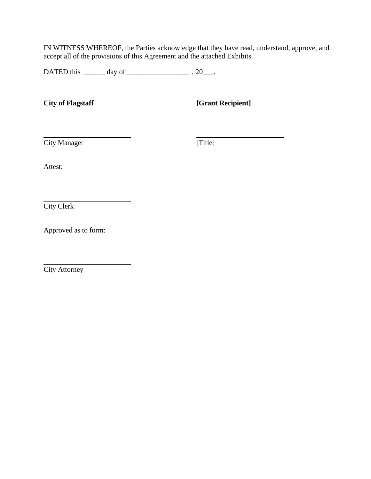IN WITNESS WHEREOF, the Parties acknowledge that they have read, understand, approve, and accept all of the provisions of this Agreement and the attached Exhibits.

DATED this \_\_\_\_\_\_ day of \_\_\_\_\_\_\_\_\_\_\_\_\_\_\_\_\_ , 20\_\_\_.

**City of Flagstaff [Grant Recipient]**

**City Manager City Manager City Manager City** 

Attest:

City Clerk

Approved as to form:

City Attorney